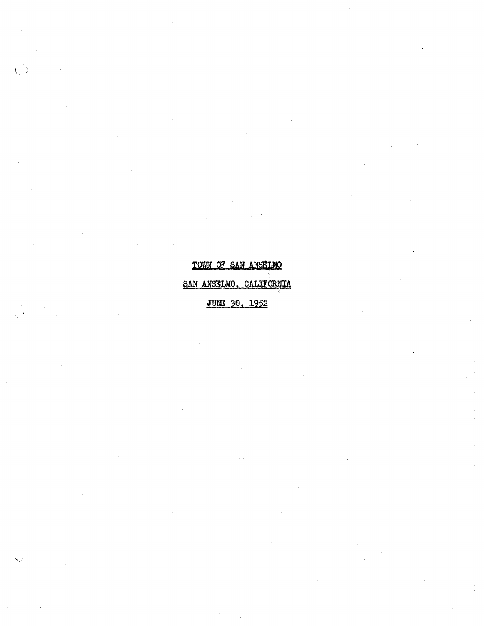# TOWN OF SAN ANSELMO SAN ANSELMO. CALIFORNIA **JUNE 30, 1952**

 $\hat{C}$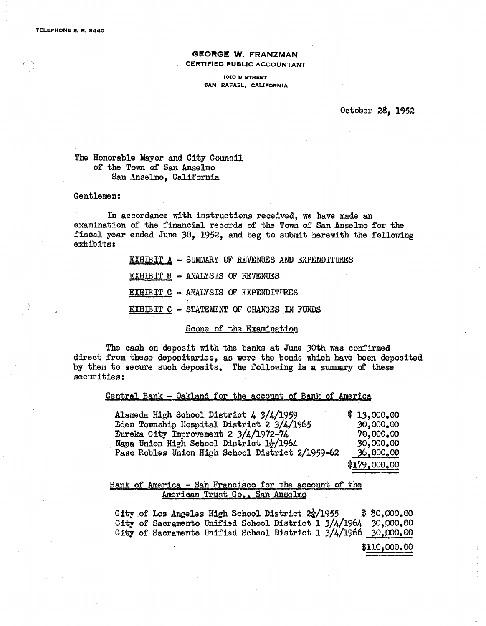$\left( \begin{array}{cc} \cdot & \cdot \end{array} \right)$ 

#### GEORGE W. FRANZMAN CERTIFIED PUBLIC ACCOUNTANT

1010 B STREET SAN RAFAEL. CALIFORNIA

October 28, 1952

The Honorable Mayor and City Oouncil of the Town of San Anselmo San Anselmo, California

#### Gentlemen:

In accordance with instructions received, we have made an examination of the finanoial records of the Town of San Anselmo for the fiscal year ended June 30, 1952, and beg to submit herewith the following exhibits:

|                                         |  |  | EXHIBIT A - SUMMARY OF REVENUES AND EXPENDITURES |  |
|-----------------------------------------|--|--|--------------------------------------------------|--|
| <b>EXHIBIT B - ANALYSIS OF REVENUES</b> |  |  |                                                  |  |

EXHIBIT C - ANALYSIS OF EXPENDITURES

EXHIBIT C - STATEMENT OF CHANGES IN FUNDS

Scope of the Examination

The cash on deposit with the banks at June 30th was confirmed direct from these depositaries, as were the bonds which have been deposited by them to secure such deposits. The following is a summary of these securities:

#### Central Bank - Oakland for the account of Bank of America

| Alameda High School District 4 3/4/1959          | \$13,000,00  |
|--------------------------------------------------|--------------|
| Eden Township Hospital District 2 3/4/1965       | 30,000.00    |
| Eureka City Improvement 2 3/4/1972-74            | 70,000,00    |
| Napa Union High School District 1}/1964          | 30,000,00    |
| Paso Robles Union High School District 2/1959-62 | 36,000,00    |
|                                                  | \$179,000,00 |

#### Bank of America - San Francisco for the aocount of the American Trust Co., San Anse1mg

City of Los Angeles High School District  $2\frac{1}{4}/1955$  \$50,000.00 City of Sacramento Unified Sohoo1 District 1 3/4/1964 30,000.00 City of Sacramento Unified School District  $1 \frac{3}{4}$ 1966  $\frac{30}{6000000}$ 

 $\$110,000.00$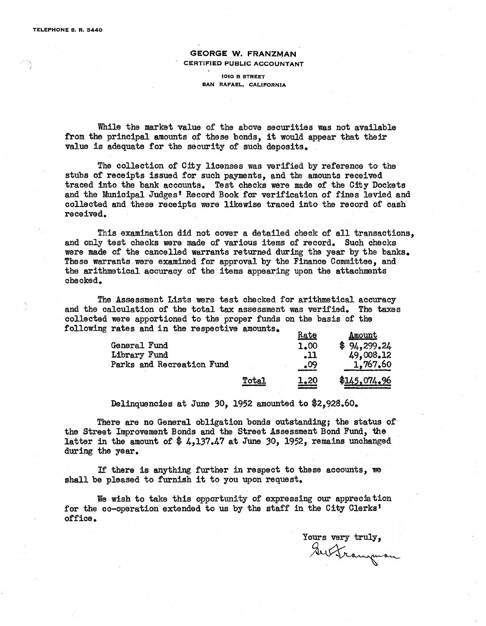#### GEORGE W. FRANZMAN CERTIFIED PUBLIC ACCOUNTANT

#### 1010 B STREET SAN RAFAEL, CALIFORNIA

While the market value of the above securities was not available from the principal amounts of these bonds, it would appear that their value is adequate for the security of such deposits.

The collection of City licenses was verified by reference to the stubs of receipts issued for such payments, and the amounts received traced into the bank accounts. Test checks were made of the City Dockets and the Municipal Judges' Record Book for verification of fines levied and collected and these receipts were likewise traced into the record of cash received.

This examination did not cover a detailed check of all transactions, and only test checks were made of various items of record. Such checks were made of the cancelled warrants returned during the year by the banks. These warrants. were examined for approval by the Finance Committee, and the arithmetical accuracy of the items appearing upon the attachments checked.

The Assessment Lists were test checked for arithmetical accuracy and the calculation of the total tax assessment was verified. The taxes collected were apportioned to the proper funds on the basis of the following rates and in the respective amounts.

|                           |       | Rate | Amount       |
|---------------------------|-------|------|--------------|
| General Fund              |       | 1.00 | \$94,299.24  |
| Library Fund              |       | 11.  | 49,008.12    |
| Parks and Recreation Fund |       | .09  | 1,767.60     |
|                           | Total | 1.20 | \$145,074.96 |

Delinquencies at June 30, 1952 amounted to \$2,928.60.

There are no General obligation bonds outstanding; the status of the Street Improvement Bonds and the Street Assessment Bond Fund, the latter in the amount of  $\frac{4}{7}$  4,137.47 at June 30, 1952, remains unchanged during the year.

If there is anything further in respect to these accounts, we shall be pleased to furnish it to you upon request.

We wish to take this opportunity of expressing our appreciation for the co-operation extended to us by the staff in the City Clerks· office.

Yours very truly,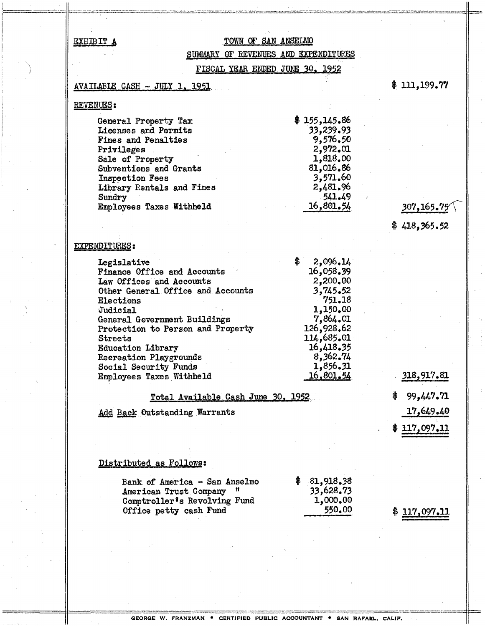### EXHIBIT A

### TOWN OF SAN ANSELMO

### SUMMARY OF REVENUES AND EXPENDITURES

FISCAL YEAR ENDED JUNE 30, 1952

#### AVAILABLE CASH - JULY 1, 1951

 $$111,199.77$ 

#### **REVENUES:**

| General Property Tax       | \$155,145.86 |
|----------------------------|--------------|
| Licenses and Permits       | 33,239.93    |
| <b>Fines and Penalties</b> | 9,576,50     |
| Privileges                 | 2,972.01     |
| Sale of Property           | 1,818.00     |
| Subventions and Grants     | 81,016.86    |
| Inspection Fees            | 3,571.60     |
| Library Rentals and Fines  | 2,481.96     |
| Sundry                     | 541.49       |
| Employees Taxes Withheld   | 16,801.54    |

## 307,165.75

 $$418,365.52$ 

### **EXPENDITURES:**

| Legislative                       | \$<br>2,096,14 |     |
|-----------------------------------|----------------|-----|
| Finance Office and Accounts       | 16,058.39      |     |
| Law Offices and Accounts          | 2,200.00       |     |
| Other General Office and Accounts | 3,745.52       |     |
| Elections                         | 751.18         |     |
| Judicial                          | 1,150.00       |     |
| General Government Buildings      | 7,864.01       |     |
| Protection to Person and Property | 126,928.62     |     |
| <b>Streets</b>                    | 114,685.01     |     |
| <b>Education Library</b>          | 16,418.35      |     |
| Recreation Playgrounds            | 8,362.74       |     |
| Social Security Funds             | 1,856.31       |     |
| Employees Taxes Withheld          | 16,801.54      | 318 |
|                                   |                |     |

### Total Available Cash June 30, 1952

Add Back Outstanding Warrants

3,917.81  $$99,447.71$ 17,649.40 \$117,097.11

#### Distributed as Follows:

| Bank of America - San Anselmo | \$3,918.38 |
|-------------------------------|------------|
| American Trust Company "      | 33,628.73  |
| Comptroller's Revolving Fund  | 1,000.00   |
| Office petty cash Fund        | 550.00     |
|                               |            |

 $$117,097.11$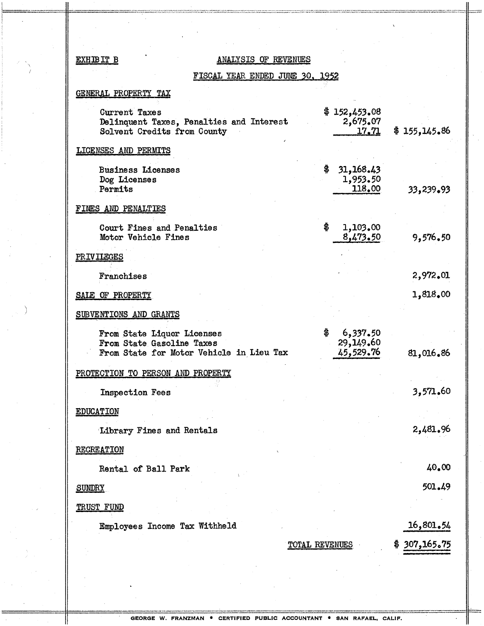#### EXHIBIT B

#### **ANALYSIS OF REVENUES**

### FISCAL YEAR ENDED JUNE 30, 1952

#### GENERAL PROPERTY TAX

| Current Taxes<br>Delinquent Taxes, Penalties and Interest<br>Solvent Credits from County            | \$152,453.08<br>2,675.07<br><u>17.71 </u> | \$155,145.86 |
|-----------------------------------------------------------------------------------------------------|-------------------------------------------|--------------|
| LICENSES AND PERMITS                                                                                |                                           |              |
| <b>Business Licenses</b><br>Dog Licenses<br>Permits                                                 | \$<br>31,168.43<br>1,953.50<br>118.00     | 33,239.93    |
| FINES AND PENALTIES                                                                                 |                                           |              |
| Court Fines and Penalties<br>Motor Vehicle Fines                                                    | \$<br>1,103.00<br>8,473,50                | 9,576.50     |
| <b>PRIVILEGES</b>                                                                                   |                                           |              |
| Franchises                                                                                          |                                           | 2,972.01     |
| SALE OF PROPERTY                                                                                    |                                           | 1,818.00     |
| SUBVENTIONS AND GRANTS                                                                              |                                           |              |
| From State Liquor Licenses<br>From State Gasoline Taxes<br>From State for Motor Vehicle in Lieu Tax | \$<br>6,337.50<br>29,149.60<br>45,529.76  | 81,016.86    |
| PROTECTION TO PERSON AND PROPERTY                                                                   |                                           |              |
| <b>Inspection Fees</b>                                                                              |                                           | 3,571.60     |
| <b>EDUCATION</b>                                                                                    |                                           |              |
| Library Fines and Rentals                                                                           |                                           | 2,481.96     |
| <b>RECREATION</b>                                                                                   |                                           |              |
| Rental of Ball Park                                                                                 |                                           | 40.00        |
| <b>SUNDRY</b>                                                                                       |                                           | 501.49       |
| <b>TRUST FUND</b>                                                                                   |                                           |              |
| Employees Income Tax Withheld                                                                       |                                           | 16,801.54    |
|                                                                                                     | TOTAL REVENUES                            | 307,165.75   |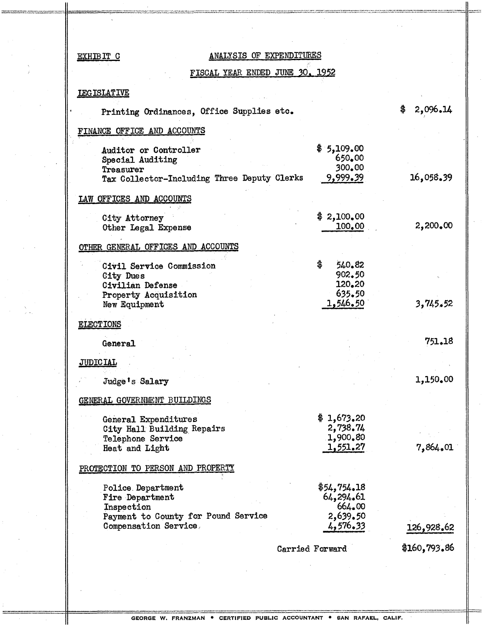### EXHIBIT C ANALYSIS OF EXPENDITURES

 $\mathbb{R}^2$ 

## FISCAL YEAR ENDED JUNE 30, 1952

 $\alpha_{\rm eff}$  and  $\alpha_{\rm eff}$ 

#### lEG ISLATIVE

| Printing Ordinances, Office Supplies etc.                                                                          |                                                            | \$<br>2,096.14 |
|--------------------------------------------------------------------------------------------------------------------|------------------------------------------------------------|----------------|
| FINANCE OFFICE AND ACCOUNTS                                                                                        |                                                            |                |
| Auditor or Controller<br>Special Auditing<br>Treasurer<br>Tax Collector-Including Three Deputy Clerks              | \$5,109.00<br>650.00<br>300.00<br>9,999.39                 | 16,058.39      |
| LAW OFFICES AND ACCOUNTS                                                                                           |                                                            |                |
| City Attorney<br>Other Legal Expense                                                                               | \$2,100,00<br>100.00                                       | 2,200.00       |
| OTHER GENERAL OFFICES AND ACCOUNTS                                                                                 |                                                            |                |
| Civil Service Commission<br><b>City Dues</b><br>Civilian Defense                                                   | \$<br>540.82<br>902.50<br>120.20                           |                |
| Property Acquisition<br>New Equipment                                                                              | 635.50<br>1,546.50                                         | 3,745.52       |
| <b>ELECTIONS</b>                                                                                                   |                                                            |                |
| General                                                                                                            |                                                            | 751.18         |
| <b>JUDICIAL</b>                                                                                                    |                                                            |                |
| Judge's Salary                                                                                                     |                                                            | 1,150.00       |
| GENERAL GOVERNMENT BUILDINGS                                                                                       |                                                            |                |
| General Expenditures<br>City Hall Building Repairs<br>Telephone Service                                            | \$1,673.20<br>2,738.74<br>1,900.80                         |                |
| Heat and Light                                                                                                     | 1,551.27                                                   | 7,864.01       |
| PROTECTION TO PERSON AND PROPERTY                                                                                  |                                                            |                |
| Police Department<br>Fire Department<br>Inspection<br>Payment to County for Pound Service<br>Compensation Service, | \$54,754.18<br>64,294.61<br>664.00<br>2,639.50<br>4,576.33 | 126,928.62     |
|                                                                                                                    | Carried Forward                                            | \$160,793.86   |
|                                                                                                                    |                                                            |                |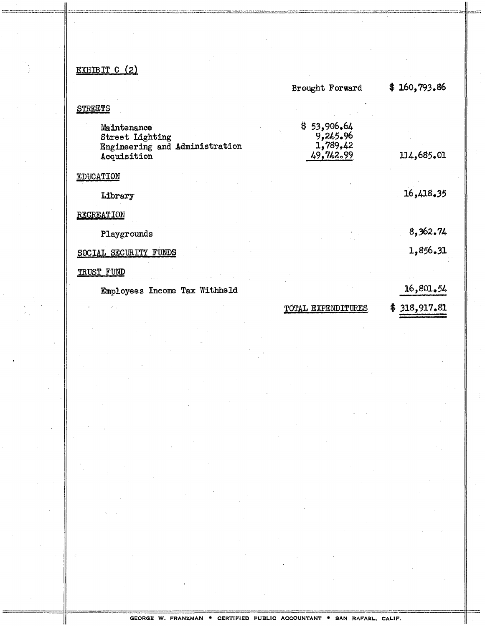## EXHIBIT C (2)

|                                                                                 | Brought Forward                                  | 160,793.86<br>\$. |
|---------------------------------------------------------------------------------|--------------------------------------------------|-------------------|
| <b>STREETS</b>                                                                  |                                                  |                   |
| Maintenance<br>Street Lighting<br>Engineering and Administration<br>Acquisition | \$53,906.64<br>9,245.96<br>1,789,42<br>49,742.99 | 114,685.01        |
| EDUCATION                                                                       |                                                  |                   |
| Library                                                                         |                                                  | 16,418,35         |
| <b>RECREATION</b>                                                               |                                                  |                   |
| Playgrounds                                                                     |                                                  | 8,362.74          |
| SOCIAL SECURITY FUNDS                                                           |                                                  | 1,856.31          |
| TRUST FUND                                                                      |                                                  |                   |
| Employees Income Tax Withheld                                                   |                                                  | 16,801.54         |
|                                                                                 | TOTAL EXPENDITURES                               | 318,917.81<br>\$  |